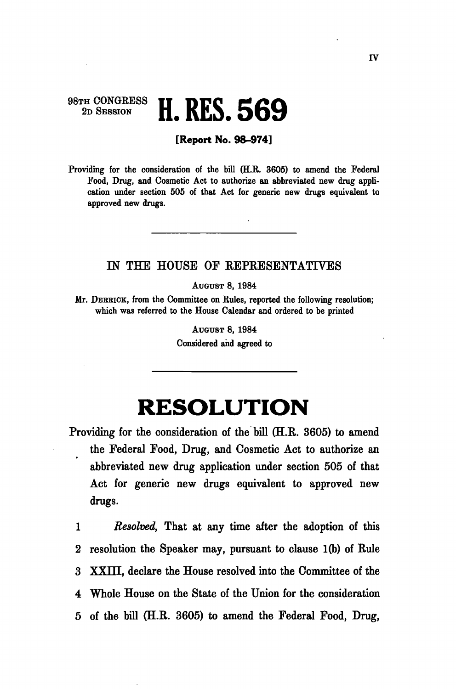## 98TH CONGRESS<br>2D SESSION 2D SESSION **H. RES. 56 9**

## **[Report No. 98-974]**

Providing for the consideration of the bill (H.R. 3605) to amend the Federal Food, Drug, and Cosmetic Act to authorize an abbreviated new drug application under section 505 of that Act for generic new drugs equivalent to approved new drugs.

## IN THE HOUSE OF REPRESENTATIVES

AUGUST 8, 1984

Mr. DEBEICK, from the Committee on Rules, reported the following resolution; which was referred to the House Calendar and ordered to be printed

> AUGUST 8, 1984 Considered and agreed to

## **RESOLUTION**

Providing for the consideration of the bill (H.R. 3605) to amend the Federal Food, Drug, and Cosmetic Act to authorize an abbreviated new drug application under section 505 of that Act for generic new drugs equivalent to approved new drugs.

1 *Resolved,* That at any time after the adoption of this 2 resolution the Speaker may, pursuant to clause 1(b) of Rule 3 XXIII, declare the House resolved into the Committee of the 4 Whole House on the State of the Union for the consideration 5 of the bill (H.R. 3605) to amend the Federal Food, Drug,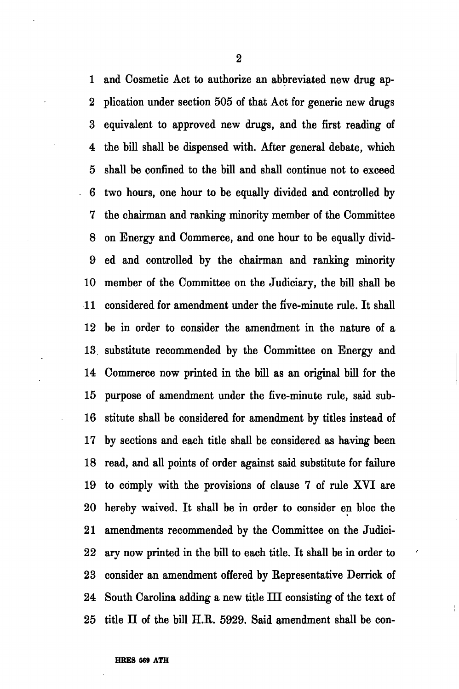1 and Cosmetic Act to authorize an abbreviated new drug ap-2 plication under section 505 of that Act for generic new drugs 3 equivalent to approved new drugs, and the first reading of 4 the bill shall be dispensed with. After general debate, which 5 shall be confined to the bill and shall continue not to exceed 6 two hours, one hour to be equally divided and controlled by 7 the chairman and ranking minority member of the Committee 8 on Energy and Commerce, and one hour to be equally divid-9 ed and controlled by the chairman and ranking minority 10 member of the Committee on the Judiciary, the bill shall be 11 considered for amendment under the five-minute rule. It shall 12 be in order to consider the amendment in the nature of a 13 substitute recommended by the Committee on Energy and 14 Commerce now printed in the bill as an original bill for the 15 purpose of amendment under the five-minute rule, said sub-16 stitute shall be considered for amendment by titles instead of 17 by sections and each title shall be considered as having been 18 read, and all points of order against said substitute for failure 19 to comply with the provisions of clause 7 of rule XVI are 20 hereby waived. It shall be in order to consider en bloc the 21 amendments recommended by the Committee on the Judici-22 ary now printed in the bill to each title. It shall be in order to 23 consider an amendment offered by Eepresentative Derrick of 24 South Carolina adding a new title IH consisting of the text of  $25$  title  $\Pi$  of the bill H.R. 5929. Said amendment shall be con-